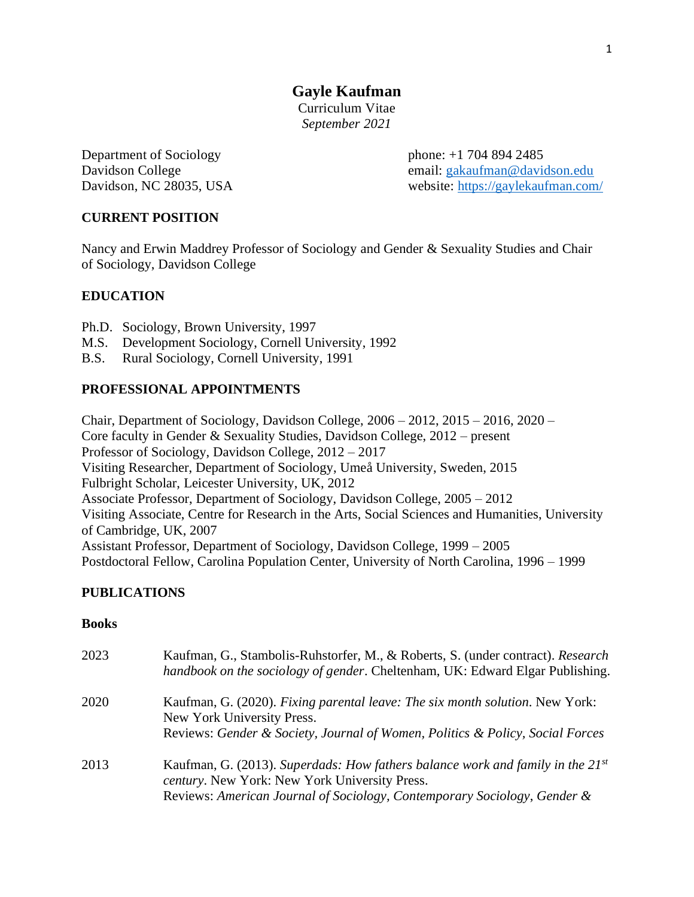**Gayle Kaufman**

Curriculum Vitae *September 2021*

Department of Sociology phone: +1 704 894 2485

Davidson College email: [gakaufman@davidson.edu](mailto:gakaufman@davidson.edu) Davidson, NC 28035, USA website:<https://gaylekaufman.com/>

# **CURRENT POSITION**

Nancy and Erwin Maddrey Professor of Sociology and Gender & Sexuality Studies and Chair of Sociology, Davidson College

# **EDUCATION**

- Ph.D. Sociology, Brown University, 1997
- M.S. Development Sociology, Cornell University, 1992
- B.S. Rural Sociology, Cornell University, 1991

# **PROFESSIONAL APPOINTMENTS**

Chair, Department of Sociology, Davidson College, 2006 – 2012, 2015 – 2016, 2020 – Core faculty in Gender & Sexuality Studies, Davidson College, 2012 – present Professor of Sociology, Davidson College, 2012 – 2017 Visiting Researcher, Department of Sociology, Umeå University, Sweden, 2015 Fulbright Scholar, Leicester University, UK, 2012 Associate Professor, Department of Sociology, Davidson College, 2005 – 2012 Visiting Associate, Centre for Research in the Arts, Social Sciences and Humanities, University of Cambridge, UK, 2007 Assistant Professor, Department of Sociology, Davidson College, 1999 – 2005 Postdoctoral Fellow, Carolina Population Center, University of North Carolina, 1996 – 1999

## **PUBLICATIONS**

### **Books**

| 2023 | Kaufman, G., Stambolis-Ruhstorfer, M., & Roberts, S. (under contract). Research<br>handbook on the sociology of gender. Cheltenham, UK: Edward Elgar Publishing.                                                 |
|------|------------------------------------------------------------------------------------------------------------------------------------------------------------------------------------------------------------------|
| 2020 | Kaufman, G. (2020). Fixing parental leave: The six month solution. New York:<br>New York University Press.<br>Reviews: Gender & Society, Journal of Women, Politics & Policy, Social Forces                      |
| 2013 | Kaufman, G. (2013). Superdads: How fathers balance work and family in the $21^{st}$<br>century. New York: New York University Press.<br>Reviews: American Journal of Sociology, Contemporary Sociology, Gender & |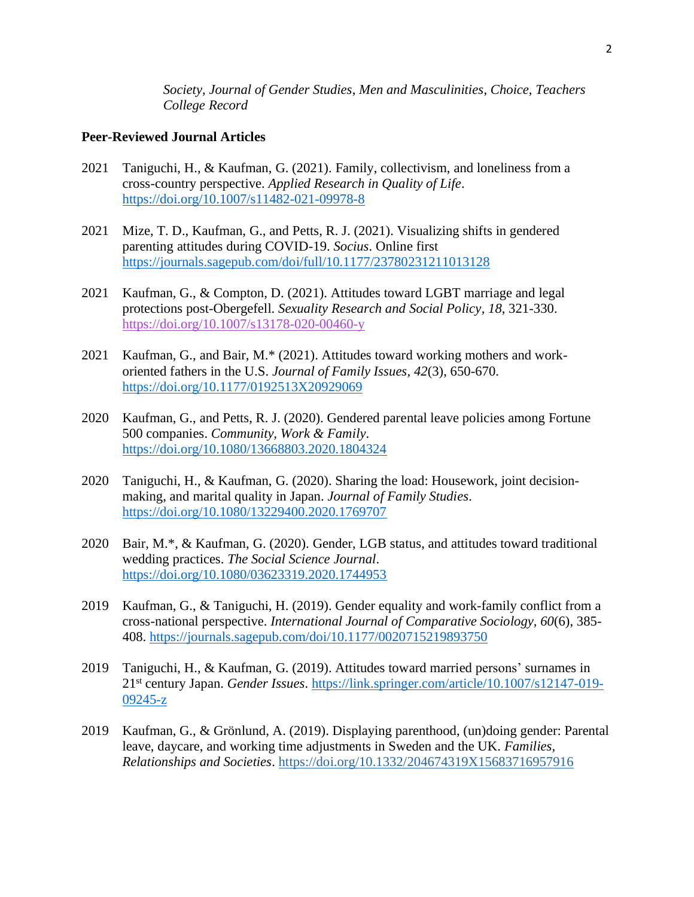*Society, Journal of Gender Studies*, *Men and Masculinities*, *Choice, Teachers College Record*

## **Peer-Reviewed Journal Articles**

- 2021 Taniguchi, H., & Kaufman, G. (2021). Family, collectivism, and loneliness from a cross-country perspective. *Applied Research in Quality of Life*. <https://doi.org/10.1007/s11482-021-09978-8>
- 2021 Mize, T. D., Kaufman, G., and Petts, R. J. (2021). Visualizing shifts in gendered parenting attitudes during COVID-19. *Socius*. Online first <https://journals.sagepub.com/doi/full/10.1177/23780231211013128>
- 2021 Kaufman, G., & Compton, D. (2021). Attitudes toward LGBT marriage and legal protections post-Obergefell. *Sexuality Research and Social Policy, 18*, 321-330. <https://doi.org/10.1007/s13178-020-00460-y>
- 2021 Kaufman, G., and Bair, M.\* (2021). Attitudes toward working mothers and workoriented fathers in the U.S. *Journal of Family Issues, 42*(3), 650-670. [https://doi.org/10.1177/0192513X20929069](https://doi.org/10.1177%2F0192513X20929069)
- 2020 Kaufman, G., and Petts, R. J. (2020). Gendered parental leave policies among Fortune 500 companies. *Community, Work & Family*. <https://doi.org/10.1080/13668803.2020.1804324>
- 2020 Taniguchi, H., & Kaufman, G. (2020). Sharing the load: Housework, joint decisionmaking, and marital quality in Japan. *Journal of Family Studies*. <https://doi.org/10.1080/13229400.2020.1769707>
- 2020 Bair, M.\*, & Kaufman, G. (2020). Gender, LGB status, and attitudes toward traditional wedding practices. *The Social Science Journal*. <https://doi.org/10.1080/03623319.2020.1744953>
- 2019 Kaufman, G., & Taniguchi, H. (2019). Gender equality and work-family conflict from a cross-national perspective. *International Journal of Comparative Sociology, 60*(6), 385- 408.<https://journals.sagepub.com/doi/10.1177/0020715219893750>
- 2019 Taniguchi, H., & Kaufman, G. (2019). Attitudes toward married persons' surnames in 21st century Japan. *Gender Issues*. [https://link.springer.com/article/10.1007/s12147-019-](https://link.springer.com/article/10.1007/s12147-019-09245-z) [09245-z](https://link.springer.com/article/10.1007/s12147-019-09245-z)
- 2019 Kaufman, G., & Grönlund, A. (2019). Displaying parenthood, (un)doing gender: Parental leave, daycare, and working time adjustments in Sweden and the UK. *Families, Relationships and Societies*. <https://doi.org/10.1332/204674319X15683716957916>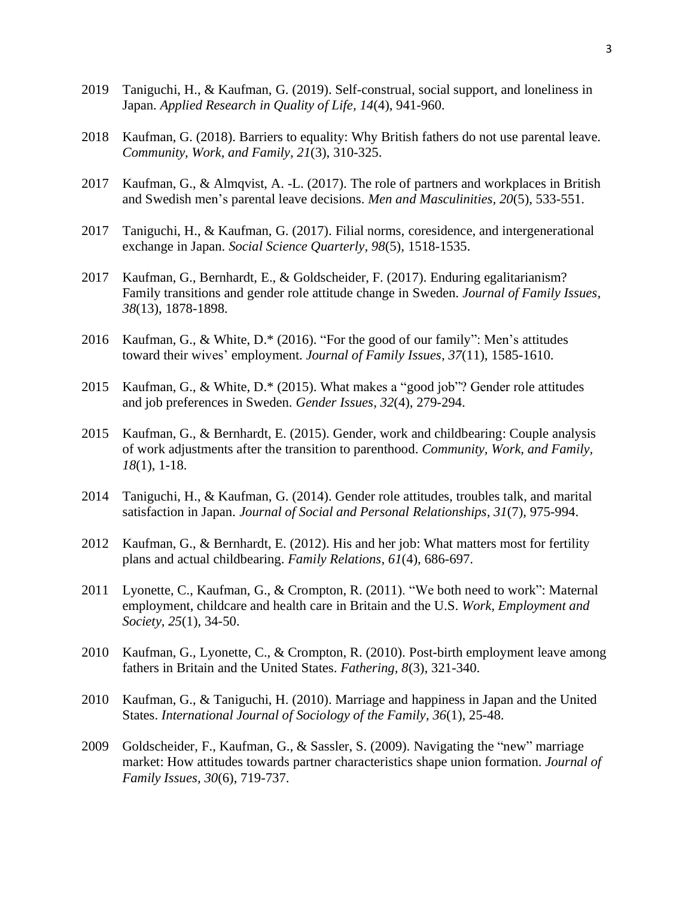- 2019 Taniguchi, H., & Kaufman, G. (2019). Self-construal, social support, and loneliness in Japan. *Applied Research in Quality of Life, 14*(4), 941-960.
- 2018 Kaufman, G. (2018). Barriers to equality: Why British fathers do not use parental leave. *Community, Work, and Family, 21*(3), 310-325.
- 2017 Kaufman, G., & Almqvist, A. -L. (2017). The role of partners and workplaces in British and Swedish men's parental leave decisions. *Men and Masculinities, 20*(5), 533-551.
- 2017 Taniguchi, H., & Kaufman, G. (2017). Filial norms, coresidence, and intergenerational exchange in Japan. *Social Science Quarterly, 98*(5), 1518-1535.
- 2017 Kaufman, G., Bernhardt, E., & Goldscheider, F. (2017). Enduring egalitarianism? Family transitions and gender role attitude change in Sweden. *Journal of Family Issues, 38*(13), 1878-1898.
- 2016 Kaufman, G., & White, D.\* (2016). "For the good of our family": Men's attitudes toward their wives' employment. *Journal of Family Issues, 37*(11), 1585-1610.
- 2015 Kaufman, G., & White, D.\* (2015). What makes a "good job"? Gender role attitudes and job preferences in Sweden. *Gender Issues, 32*(4), 279-294.
- 2015 Kaufman, G., & Bernhardt, E. (2015). Gender, work and childbearing: Couple analysis of work adjustments after the transition to parenthood. *Community, Work, and Family, 18*(1), 1-18.
- 2014 Taniguchi, H., & Kaufman, G. (2014). Gender role attitudes, troubles talk, and marital satisfaction in Japan. *Journal of Social and Personal Relationships, 31*(7), 975-994.
- 2012 Kaufman, G., & Bernhardt, E. (2012). His and her job: What matters most for fertility plans and actual childbearing. *Family Relations, 61*(4), 686-697.
- 2011 Lyonette, C., Kaufman, G., & Crompton, R. (2011). "We both need to work": Maternal employment, childcare and health care in Britain and the U.S. *Work, Employment and Society, 25*(1), 34-50.
- 2010 Kaufman, G., Lyonette, C., & Crompton, R. (2010). Post-birth employment leave among fathers in Britain and the United States. *Fathering, 8*(3), 321-340.
- 2010 Kaufman, G., & Taniguchi, H. (2010). Marriage and happiness in Japan and the United States. *International Journal of Sociology of the Family, 36*(1), 25-48.
- 2009 Goldscheider, F., Kaufman, G., & Sassler, S. (2009). Navigating the "new" marriage market: How attitudes towards partner characteristics shape union formation. *Journal of Family Issues, 30*(6), 719-737.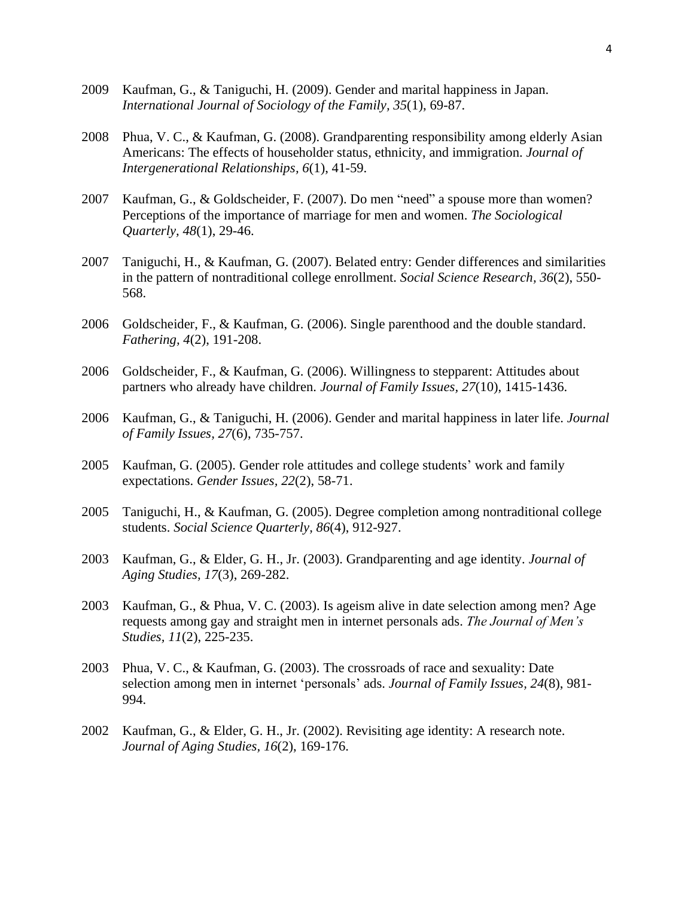- 2009 Kaufman, G., & Taniguchi, H. (2009). Gender and marital happiness in Japan. *International Journal of Sociology of the Family, 35*(1), 69-87.
- 2008 Phua, V. C., & Kaufman, G. (2008). Grandparenting responsibility among elderly Asian Americans: The effects of householder status, ethnicity, and immigration. *Journal of Intergenerational Relationships, 6*(1), 41-59.
- 2007 Kaufman, G., & Goldscheider, F. (2007). Do men "need" a spouse more than women? Perceptions of the importance of marriage for men and women. *The Sociological Quarterly, 48*(1), 29-46.
- 2007 Taniguchi, H., & Kaufman, G. (2007). Belated entry: Gender differences and similarities in the pattern of nontraditional college enrollment. *Social Science Research, 36*(2), 550- 568.
- 2006 Goldscheider, F., & Kaufman, G. (2006). Single parenthood and the double standard. *Fathering, 4*(2), 191-208.
- 2006 Goldscheider, F., & Kaufman, G. (2006). Willingness to stepparent: Attitudes about partners who already have children. *Journal of Family Issues, 27*(10), 1415-1436.
- 2006 Kaufman, G., & Taniguchi, H. (2006). Gender and marital happiness in later life. *Journal of Family Issues, 27*(6), 735-757.
- 2005 Kaufman, G. (2005). Gender role attitudes and college students' work and family expectations. *Gender Issues, 22*(2), 58-71.
- 2005 Taniguchi, H., & Kaufman, G. (2005). Degree completion among nontraditional college students. *Social Science Quarterly, 86*(4), 912-927.
- 2003 Kaufman, G., & Elder, G. H., Jr. (2003). Grandparenting and age identity. *Journal of Aging Studies, 17*(3), 269-282.
- 2003 Kaufman, G., & Phua, V. C. (2003). Is ageism alive in date selection among men? Age requests among gay and straight men in internet personals ads. *The Journal of Men's Studies, 11*(2), 225-235.
- 2003 Phua, V. C., & Kaufman, G. (2003). The crossroads of race and sexuality: Date selection among men in internet 'personals' ads. *Journal of Family Issues, 24*(8), 981- 994.
- 2002 Kaufman, G., & Elder, G. H., Jr. (2002). Revisiting age identity: A research note. *Journal of Aging Studies, 16*(2), 169-176.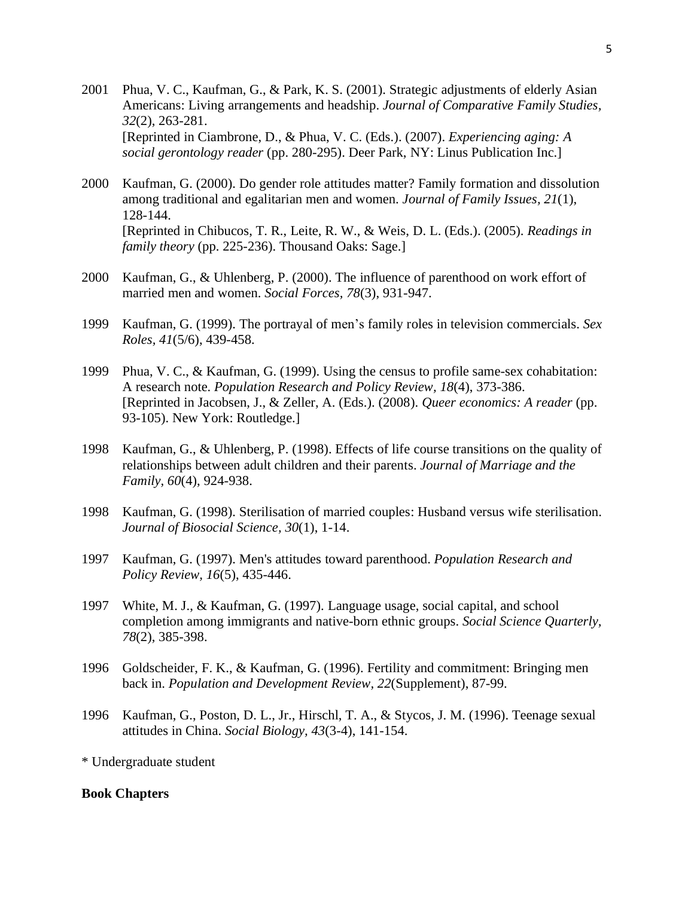- 2001 Phua, V. C., Kaufman, G., & Park, K. S. (2001). Strategic adjustments of elderly Asian Americans: Living arrangements and headship. *Journal of Comparative Family Studies, 32*(2), 263-281. [Reprinted in Ciambrone, D., & Phua, V. C. (Eds.). (2007). *Experiencing aging: A social gerontology reader* (pp. 280-295). Deer Park, NY: Linus Publication Inc.]
- 2000 Kaufman, G. (2000). Do gender role attitudes matter? Family formation and dissolution among traditional and egalitarian men and women. *Journal of Family Issues, 21*(1), 128-144. [Reprinted in Chibucos, T. R., Leite, R. W., & Weis, D. L. (Eds.). (2005). *Readings in family theory* (pp. 225-236). Thousand Oaks: Sage.]
- 2000 Kaufman, G., & Uhlenberg, P. (2000). The influence of parenthood on work effort of married men and women. *Social Forces, 78*(3), 931-947.
- 1999 Kaufman, G. (1999). The portrayal of men's family roles in television commercials. *Sex Roles, 41*(5/6), 439-458.
- 1999 Phua, V. C., & Kaufman, G. (1999). Using the census to profile same-sex cohabitation: A research note. *Population Research and Policy Review, 18*(4), 373-386. [Reprinted in Jacobsen, J., & Zeller, A. (Eds.). (2008). *Queer economics: A reader* (pp. 93-105). New York: Routledge.]
- 1998 Kaufman, G., & Uhlenberg, P. (1998). Effects of life course transitions on the quality of relationships between adult children and their parents. *Journal of Marriage and the Family, 60*(4), 924-938.
- 1998 Kaufman, G. (1998). Sterilisation of married couples: Husband versus wife sterilisation. *Journal of Biosocial Science, 30*(1), 1-14.
- 1997 Kaufman, G. (1997). Men's attitudes toward parenthood. *Population Research and Policy Review, 16*(5), 435-446.
- 1997 White, M. J., & Kaufman, G. (1997). Language usage, social capital, and school completion among immigrants and native-born ethnic groups. *Social Science Quarterly, 78*(2), 385-398.
- 1996 Goldscheider, F. K., & Kaufman, G. (1996). Fertility and commitment: Bringing men back in. *Population and Development Review, 22*(Supplement), 87-99.
- 1996 Kaufman, G., Poston, D. L., Jr., Hirschl, T. A., & Stycos, J. M. (1996). Teenage sexual attitudes in China. *Social Biology, 43*(3-4), 141-154.

\* Undergraduate student

#### **Book Chapters**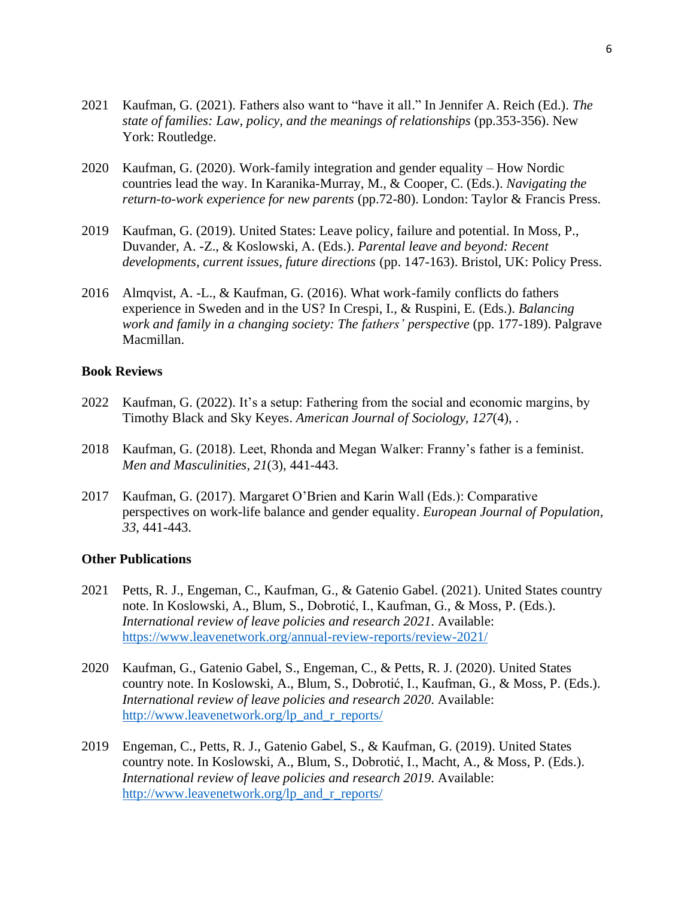- 2021 Kaufman, G. (2021). Fathers also want to "have it all." In Jennifer A. Reich (Ed.). *The state of families: Law, policy, and the meanings of relationships* (pp.353-356). New York: Routledge.
- 2020 Kaufman, G. (2020). Work-family integration and gender equality How Nordic countries lead the way. In Karanika-Murray, M., & Cooper, C. (Eds.). *Navigating the return-to-work experience for new parents* (pp.72-80). London: Taylor & Francis Press.
- 2019 Kaufman, G. (2019). United States: Leave policy, failure and potential. In Moss, P., Duvander, A. -Z., & Koslowski, A. (Eds.). *Parental leave and beyond: Recent developments, current issues, future directions* (pp. 147-163). Bristol, UK: Policy Press.
- 2016 Almqvist, A. -L., & Kaufman, G. (2016). What work-family conflicts do fathers experience in Sweden and in the US? In Crespi, I., & Ruspini, E. (Eds.). *Balancing work and family in a changing society: The fathers' perspective* (pp. 177-189). Palgrave Macmillan.

#### **Book Reviews**

- 2022 Kaufman, G. (2022). It's a setup: Fathering from the social and economic margins, by Timothy Black and Sky Keyes. *American Journal of Sociology, 127*(4), .
- 2018 Kaufman, G. (2018). Leet, Rhonda and Megan Walker: Franny's father is a feminist. *Men and Masculinities, 21*(3), 441-443.
- 2017 Kaufman, G. (2017). Margaret O'Brien and Karin Wall (Eds.): Comparative perspectives on work-life balance and gender equality. *European Journal of Population, 33*, 441-443.

#### **Other Publications**

- 2021 Petts, R. J., Engeman, C., Kaufman, G., & Gatenio Gabel. (2021). United States country note. In Koslowski, A., Blum, S., Dobrotić, I., Kaufman, G., & Moss, P. (Eds.). *International review of leave policies and research 2021*. Available: <https://www.leavenetwork.org/annual-review-reports/review-2021/>
- 2020 Kaufman, G., Gatenio Gabel, S., Engeman, C., & Petts, R. J. (2020). United States country note. In Koslowski, A., Blum, S., Dobrotić, I., Kaufman, G., & Moss, P. (Eds.). *International review of leave policies and research 2020*. Available: [http://www.leavenetwork.org/lp\\_and\\_r\\_reports/](http://www.leavenetwork.org/lp_and_r_reports/)
- 2019 Engeman, C., Petts, R. J., Gatenio Gabel, S., & Kaufman, G. (2019). United States country note. In Koslowski, A., Blum, S., Dobrotić, I., Macht, A., & Moss, P. (Eds.). *International review of leave policies and research 2019*. Available: [http://www.leavenetwork.org/lp\\_and\\_r\\_reports/](http://www.leavenetwork.org/lp_and_r_reports/)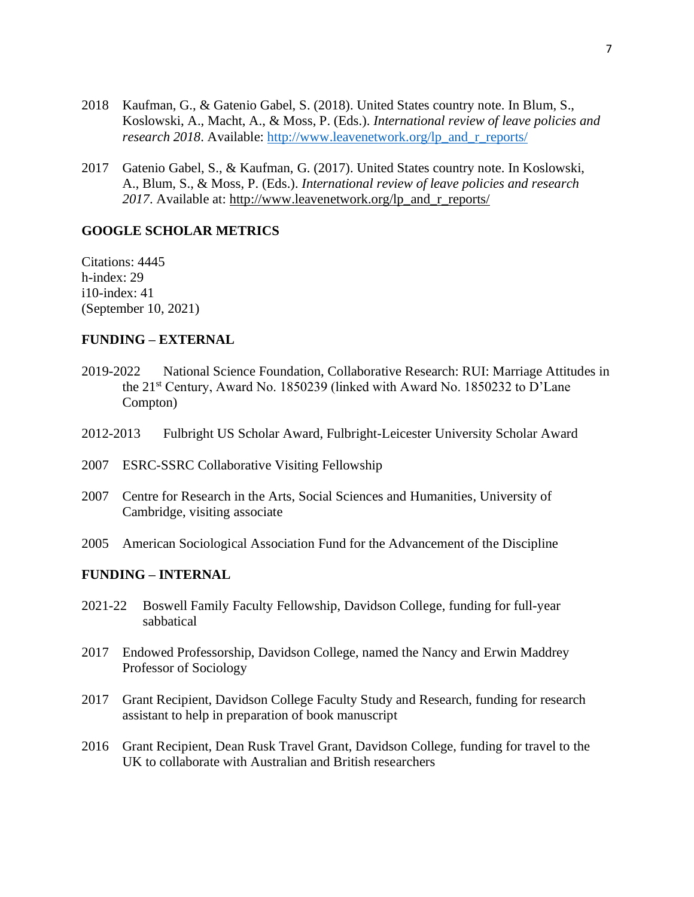- 2018 Kaufman, G., & Gatenio Gabel, S. (2018). United States country note. In Blum, S., Koslowski, A., Macht, A., & Moss, P. (Eds.). *International review of leave policies and research 2018.* Available: [http://www.leavenetwork.org/lp\\_and\\_r\\_reports/](http://www.leavenetwork.org/lp_and_r_reports/)
- 2017 Gatenio Gabel, S., & Kaufman, G. (2017). United States country note. In Koslowski, A., Blum, S., & Moss, P. (Eds.). *International review of leave policies and research 2017*. Available at: [http://www.leavenetwork.org/lp\\_and\\_r\\_reports/](http://www.leavenetwork.org/lp_and_r_reports/)

#### **GOOGLE SCHOLAR METRICS**

Citations: 4445 h-index: 29 i10-index: 41 (September 10, 2021)

### **FUNDING – EXTERNAL**

- 2019-2022 National Science Foundation, Collaborative Research: RUI: Marriage Attitudes in the 21st Century, Award No. 1850239 (linked with Award No. 1850232 to D'Lane Compton)
- 2012-2013 Fulbright US Scholar Award, Fulbright-Leicester University Scholar Award
- 2007 ESRC-SSRC Collaborative Visiting Fellowship
- 2007 Centre for Research in the Arts, Social Sciences and Humanities, University of Cambridge, visiting associate
- 2005 American Sociological Association Fund for the Advancement of the Discipline

#### **FUNDING – INTERNAL**

- 2021-22 Boswell Family Faculty Fellowship, Davidson College, funding for full-year sabbatical
- 2017 Endowed Professorship, Davidson College, named the Nancy and Erwin Maddrey Professor of Sociology
- 2017 Grant Recipient, Davidson College Faculty Study and Research, funding for research assistant to help in preparation of book manuscript
- 2016 Grant Recipient, Dean Rusk Travel Grant, Davidson College, funding for travel to the UK to collaborate with Australian and British researchers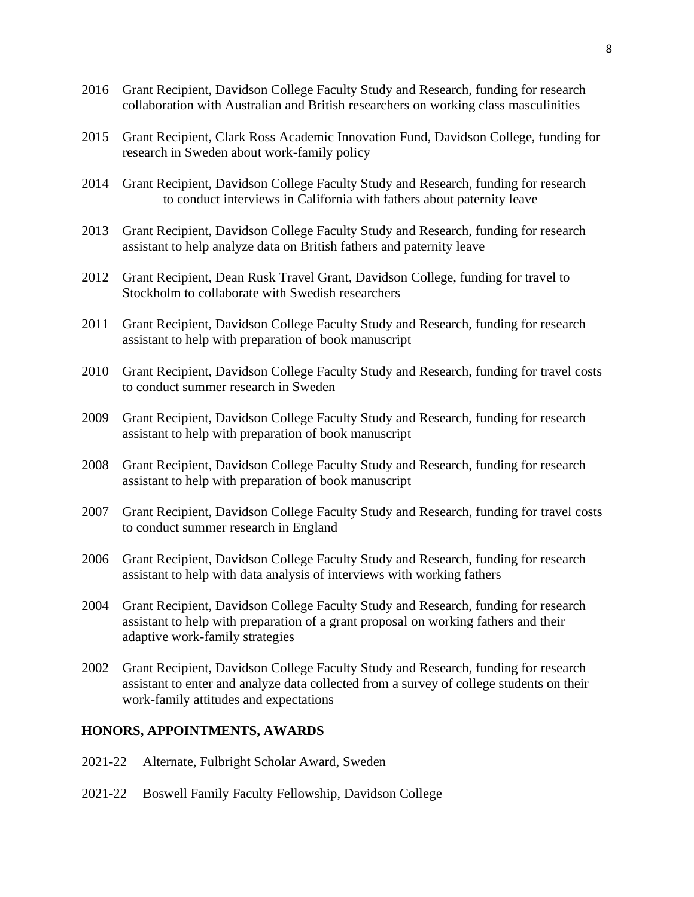- 2016 Grant Recipient, Davidson College Faculty Study and Research, funding for research collaboration with Australian and British researchers on working class masculinities
- 2015 Grant Recipient, Clark Ross Academic Innovation Fund, Davidson College, funding for research in Sweden about work-family policy
- 2014 Grant Recipient, Davidson College Faculty Study and Research, funding for research to conduct interviews in California with fathers about paternity leave
- 2013 Grant Recipient, Davidson College Faculty Study and Research, funding for research assistant to help analyze data on British fathers and paternity leave
- 2012 Grant Recipient, Dean Rusk Travel Grant, Davidson College, funding for travel to Stockholm to collaborate with Swedish researchers
- 2011 Grant Recipient, Davidson College Faculty Study and Research, funding for research assistant to help with preparation of book manuscript
- 2010 Grant Recipient, Davidson College Faculty Study and Research, funding for travel costs to conduct summer research in Sweden
- 2009 Grant Recipient, Davidson College Faculty Study and Research, funding for research assistant to help with preparation of book manuscript
- 2008 Grant Recipient, Davidson College Faculty Study and Research, funding for research assistant to help with preparation of book manuscript
- 2007 Grant Recipient, Davidson College Faculty Study and Research, funding for travel costs to conduct summer research in England
- 2006 Grant Recipient, Davidson College Faculty Study and Research, funding for research assistant to help with data analysis of interviews with working fathers
- 2004 Grant Recipient, Davidson College Faculty Study and Research, funding for research assistant to help with preparation of a grant proposal on working fathers and their adaptive work-family strategies
- 2002 Grant Recipient, Davidson College Faculty Study and Research, funding for research assistant to enter and analyze data collected from a survey of college students on their work-family attitudes and expectations

### **HONORS, APPOINTMENTS, AWARDS**

- 2021-22 Alternate, Fulbright Scholar Award, Sweden
- 2021-22 Boswell Family Faculty Fellowship, Davidson College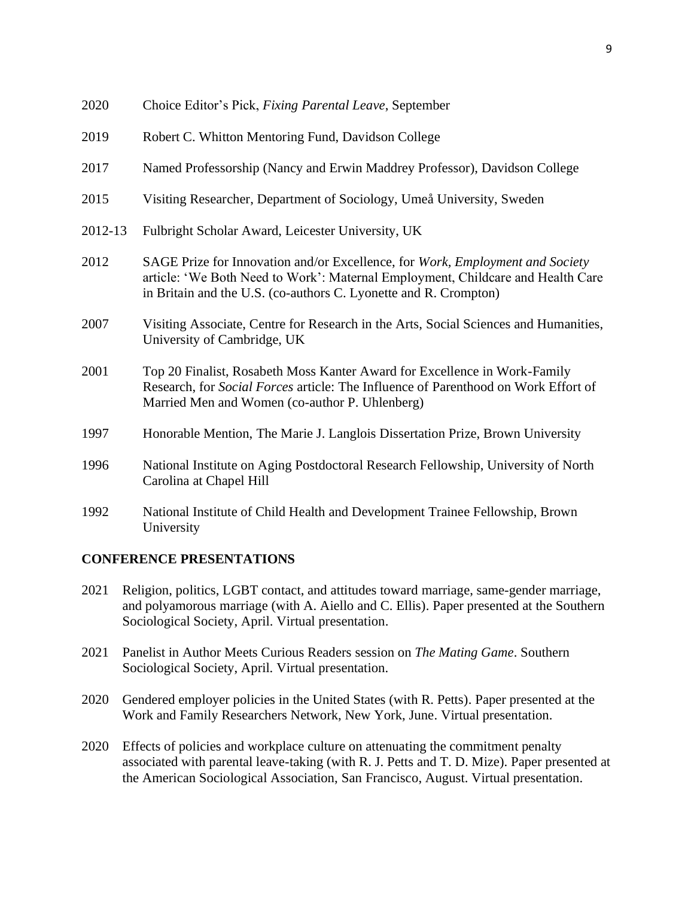| ZUZU    | Choice Editor S Fick, <i>Fixing Furential Leave</i> , September                                                                                                                                                                                                                                                                    |
|---------|------------------------------------------------------------------------------------------------------------------------------------------------------------------------------------------------------------------------------------------------------------------------------------------------------------------------------------|
| 2019    | Robert C. Whitton Mentoring Fund, Davidson College                                                                                                                                                                                                                                                                                 |
| 2017    | Named Professorship (Nancy and Erwin Maddrey Professor), Davidson College                                                                                                                                                                                                                                                          |
| 2015    | Visiting Researcher, Department of Sociology, Umeå University, Sweden                                                                                                                                                                                                                                                              |
| 2012-13 | Fulbright Scholar Award, Leicester University, UK                                                                                                                                                                                                                                                                                  |
| 2012    | SAGE Prize for Innovation and/or Excellence, for Work, Employment and Society<br>article: 'We Both Need to Work': Maternal Employment, Childcare and Health Care<br>in Britain and the U.S. (co-authors C. Lyonette and R. Crompton)                                                                                               |
| 2007    | Visiting Associate, Centre for Research in the Arts, Social Sciences and Humanities,<br>University of Cambridge, UK                                                                                                                                                                                                                |
| 2001    | Top 20 Finalist, Rosabeth Moss Kanter Award for Excellence in Work-Family<br>Research, for <i>Social Forces</i> article: The Influence of Parenthood on Work Effort of<br>Married Men and Women (co-author P. Uhlenberg)                                                                                                           |
| 1997    | Honorable Mention, The Marie J. Langlois Dissertation Prize, Brown University                                                                                                                                                                                                                                                      |
| 100<    | $\mathbf{1}$ $\mathbf{r}$ $\mathbf{r}$ $\mathbf{r}$ $\mathbf{r}$ $\mathbf{r}$ $\mathbf{r}$ $\mathbf{r}$ $\mathbf{r}$ $\mathbf{r}$ $\mathbf{r}$ $\mathbf{r}$ $\mathbf{r}$ $\mathbf{r}$ $\mathbf{r}$ $\mathbf{r}$ $\mathbf{r}$ $\mathbf{r}$ $\mathbf{r}$ $\mathbf{r}$ $\mathbf{r}$ $\mathbf{r}$ $\mathbf{r}$ $\mathbf{r}$ $\mathbf{$ |

- 1996 National Institute on Aging Postdoctoral Research Fellowship, University of North Carolina at Chapel Hill
- 1992 National Institute of Child Health and Development Trainee Fellowship, Brown University

## **CONFERENCE PRESENTATIONS**

- 2021 Religion, politics, LGBT contact, and attitudes toward marriage, same-gender marriage, and polyamorous marriage (with A. Aiello and C. Ellis). Paper presented at the Southern Sociological Society, April. Virtual presentation.
- 2021 Panelist in Author Meets Curious Readers session on *The Mating Game*. Southern Sociological Society, April. Virtual presentation.
- 2020 Gendered employer policies in the United States (with R. Petts). Paper presented at the Work and Family Researchers Network, New York, June. Virtual presentation.
- 2020 Effects of policies and workplace culture on attenuating the commitment penalty associated with parental leave-taking (with R. J. Petts and T. D. Mize). Paper presented at the American Sociological Association, San Francisco, August. Virtual presentation.

2020 Choice Editor's Pick, *Fixing Parental Leave*, September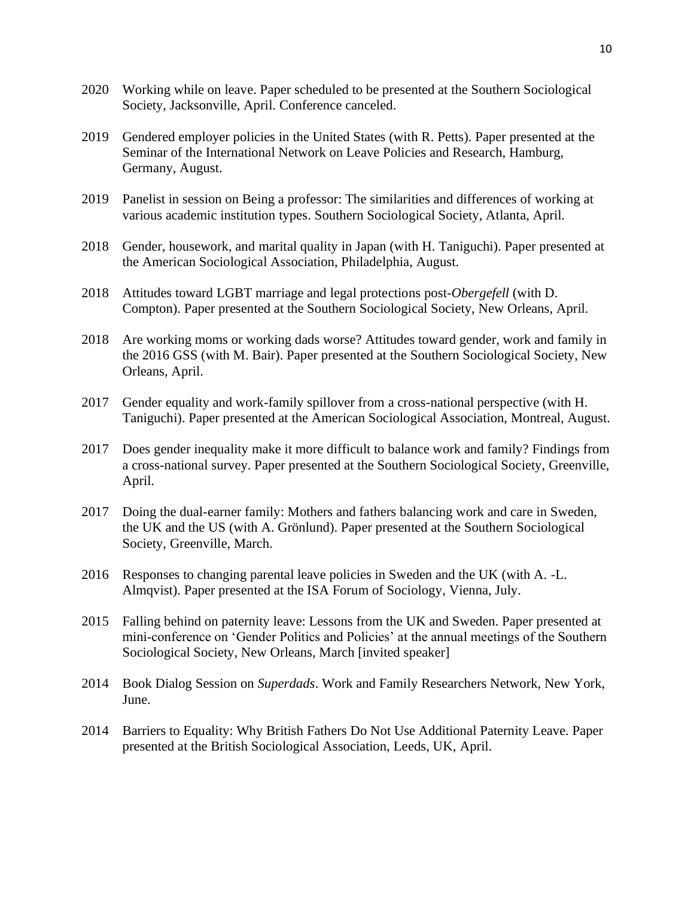- 2020 Working while on leave. Paper scheduled to be presented at the Southern Sociological Society, Jacksonville, April. Conference canceled.
- 2019 Gendered employer policies in the United States (with R. Petts). Paper presented at the Seminar of the International Network on Leave Policies and Research, Hamburg, Germany, August.
- 2019 Panelist in session on Being a professor: The similarities and differences of working at various academic institution types. Southern Sociological Society, Atlanta, April.
- 2018 Gender, housework, and marital quality in Japan (with H. Taniguchi). Paper presented at the American Sociological Association, Philadelphia, August.
- 2018 Attitudes toward LGBT marriage and legal protections post-*Obergefell* (with D. Compton). Paper presented at the Southern Sociological Society, New Orleans, April.
- 2018 Are working moms or working dads worse? Attitudes toward gender, work and family in the 2016 GSS (with M. Bair). Paper presented at the Southern Sociological Society, New Orleans, April.
- 2017 Gender equality and work-family spillover from a cross-national perspective (with H. Taniguchi). Paper presented at the American Sociological Association, Montreal, August.
- 2017 Does gender inequality make it more difficult to balance work and family? Findings from a cross-national survey. Paper presented at the Southern Sociological Society, Greenville, April.
- 2017 Doing the dual-earner family: Mothers and fathers balancing work and care in Sweden, the UK and the US (with A. Grönlund). Paper presented at the Southern Sociological Society, Greenville, March.
- 2016 Responses to changing parental leave policies in Sweden and the UK (with A. -L. Almqvist). Paper presented at the ISA Forum of Sociology, Vienna, July.
- 2015 Falling behind on paternity leave: Lessons from the UK and Sweden. Paper presented at mini-conference on 'Gender Politics and Policies' at the annual meetings of the Southern Sociological Society, New Orleans, March [invited speaker]
- 2014 Book Dialog Session on *Superdads*. Work and Family Researchers Network, New York, June.
- 2014 Barriers to Equality: Why British Fathers Do Not Use Additional Paternity Leave. Paper presented at the British Sociological Association, Leeds, UK, April.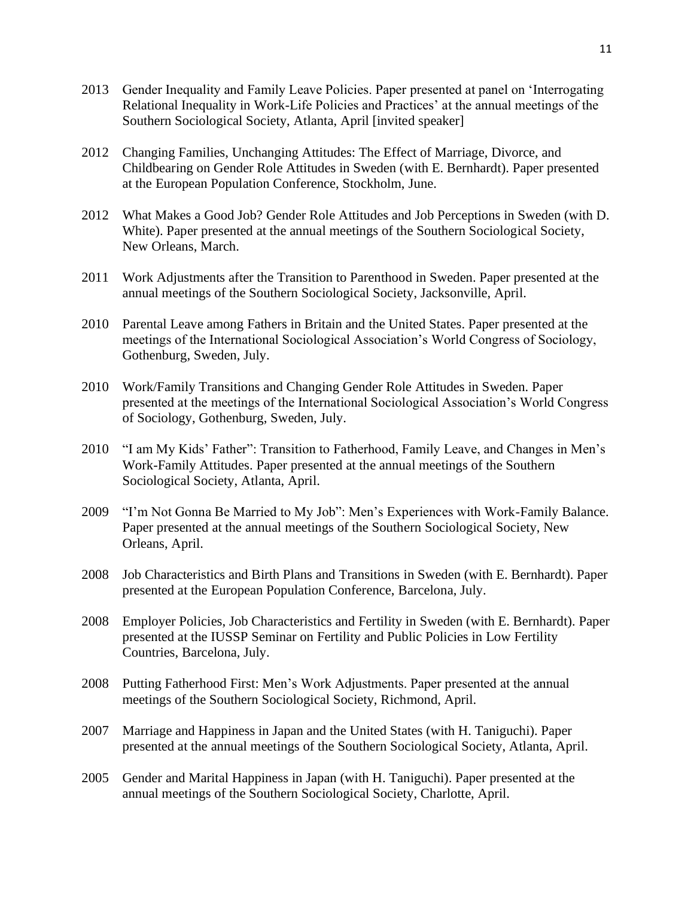- 2013 Gender Inequality and Family Leave Policies. Paper presented at panel on 'Interrogating Relational Inequality in Work-Life Policies and Practices' at the annual meetings of the Southern Sociological Society, Atlanta, April [invited speaker]
- 2012 Changing Families, Unchanging Attitudes: The Effect of Marriage, Divorce, and Childbearing on Gender Role Attitudes in Sweden (with E. Bernhardt). Paper presented at the European Population Conference, Stockholm, June.
- 2012 What Makes a Good Job? Gender Role Attitudes and Job Perceptions in Sweden (with D. White). Paper presented at the annual meetings of the Southern Sociological Society, New Orleans, March.
- 2011 Work Adjustments after the Transition to Parenthood in Sweden. Paper presented at the annual meetings of the Southern Sociological Society, Jacksonville, April.
- 2010 Parental Leave among Fathers in Britain and the United States. Paper presented at the meetings of the International Sociological Association's World Congress of Sociology, Gothenburg, Sweden, July.
- 2010 Work/Family Transitions and Changing Gender Role Attitudes in Sweden. Paper presented at the meetings of the International Sociological Association's World Congress of Sociology, Gothenburg, Sweden, July.
- 2010 "I am My Kids' Father": Transition to Fatherhood, Family Leave, and Changes in Men's Work-Family Attitudes. Paper presented at the annual meetings of the Southern Sociological Society, Atlanta, April.
- 2009 "I'm Not Gonna Be Married to My Job": Men's Experiences with Work-Family Balance. Paper presented at the annual meetings of the Southern Sociological Society, New Orleans, April.
- 2008 Job Characteristics and Birth Plans and Transitions in Sweden (with E. Bernhardt). Paper presented at the European Population Conference, Barcelona, July.
- 2008 Employer Policies, Job Characteristics and Fertility in Sweden (with E. Bernhardt). Paper presented at the IUSSP Seminar on Fertility and Public Policies in Low Fertility Countries, Barcelona, July.
- 2008 Putting Fatherhood First: Men's Work Adjustments. Paper presented at the annual meetings of the Southern Sociological Society, Richmond, April.
- 2007 Marriage and Happiness in Japan and the United States (with H. Taniguchi). Paper presented at the annual meetings of the Southern Sociological Society, Atlanta, April.
- 2005 Gender and Marital Happiness in Japan (with H. Taniguchi). Paper presented at the annual meetings of the Southern Sociological Society, Charlotte, April.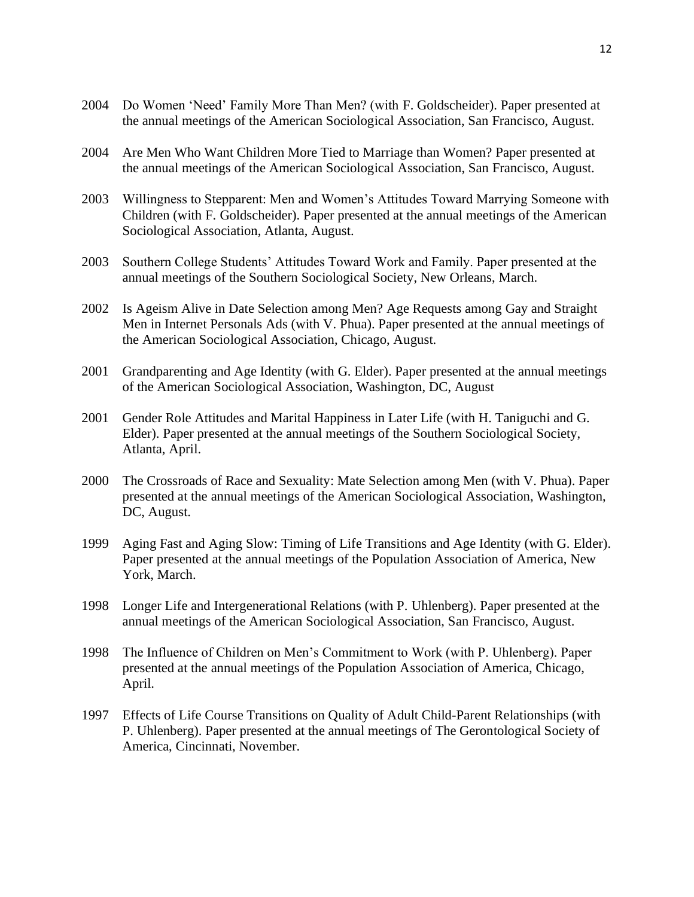- 2004 Do Women 'Need' Family More Than Men? (with F. Goldscheider). Paper presented at the annual meetings of the American Sociological Association, San Francisco, August.
- 2004 Are Men Who Want Children More Tied to Marriage than Women? Paper presented at the annual meetings of the American Sociological Association, San Francisco, August.
- 2003 Willingness to Stepparent: Men and Women's Attitudes Toward Marrying Someone with Children (with F. Goldscheider). Paper presented at the annual meetings of the American Sociological Association, Atlanta, August.
- 2003 Southern College Students' Attitudes Toward Work and Family. Paper presented at the annual meetings of the Southern Sociological Society, New Orleans, March.
- 2002 Is Ageism Alive in Date Selection among Men? Age Requests among Gay and Straight Men in Internet Personals Ads (with V. Phua). Paper presented at the annual meetings of the American Sociological Association, Chicago, August.
- 2001 Grandparenting and Age Identity (with G. Elder). Paper presented at the annual meetings of the American Sociological Association, Washington, DC, August
- 2001 Gender Role Attitudes and Marital Happiness in Later Life (with H. Taniguchi and G. Elder). Paper presented at the annual meetings of the Southern Sociological Society, Atlanta, April.
- 2000 The Crossroads of Race and Sexuality: Mate Selection among Men (with V. Phua). Paper presented at the annual meetings of the American Sociological Association, Washington, DC, August.
- 1999 Aging Fast and Aging Slow: Timing of Life Transitions and Age Identity (with G. Elder). Paper presented at the annual meetings of the Population Association of America, New York, March.
- 1998 Longer Life and Intergenerational Relations (with P. Uhlenberg). Paper presented at the annual meetings of the American Sociological Association, San Francisco, August.
- 1998 The Influence of Children on Men's Commitment to Work (with P. Uhlenberg). Paper presented at the annual meetings of the Population Association of America, Chicago, April.
- 1997 Effects of Life Course Transitions on Quality of Adult Child-Parent Relationships (with P. Uhlenberg). Paper presented at the annual meetings of The Gerontological Society of America, Cincinnati, November.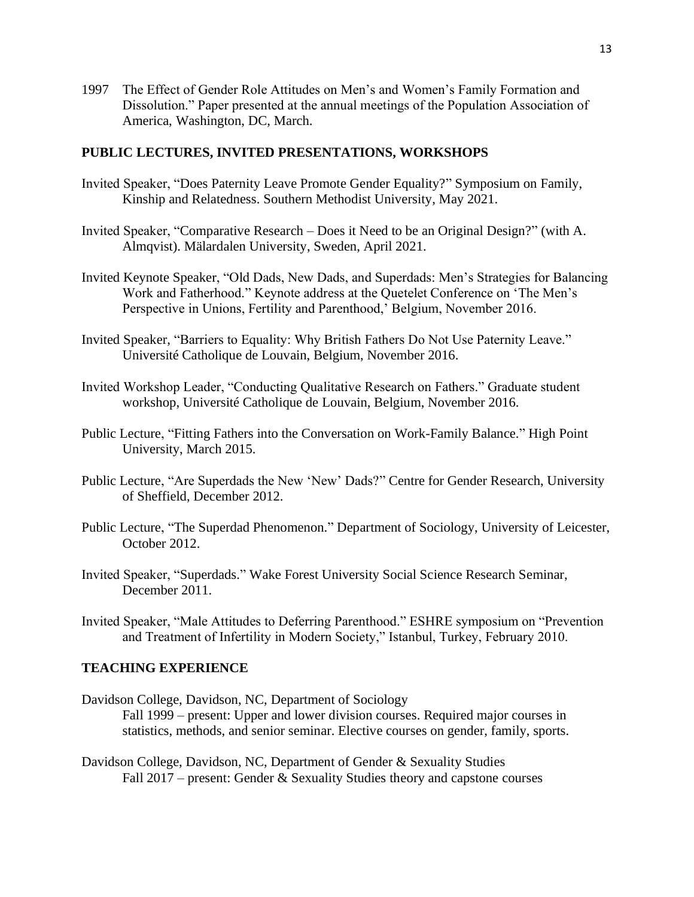1997 The Effect of Gender Role Attitudes on Men's and Women's Family Formation and Dissolution." Paper presented at the annual meetings of the Population Association of America, Washington, DC, March.

### **PUBLIC LECTURES, INVITED PRESENTATIONS, WORKSHOPS**

- Invited Speaker, "Does Paternity Leave Promote Gender Equality?" Symposium on Family, Kinship and Relatedness. Southern Methodist University, May 2021.
- Invited Speaker, "Comparative Research Does it Need to be an Original Design?" (with A. Almqvist). Mälardalen University, Sweden, April 2021.
- Invited Keynote Speaker, "Old Dads, New Dads, and Superdads: Men's Strategies for Balancing Work and Fatherhood." Keynote address at the Quetelet Conference on 'The Men's Perspective in Unions, Fertility and Parenthood,' Belgium, November 2016.
- Invited Speaker, "Barriers to Equality: Why British Fathers Do Not Use Paternity Leave." Université Catholique de Louvain, Belgium, November 2016.
- Invited Workshop Leader, "Conducting Qualitative Research on Fathers." Graduate student workshop, Université Catholique de Louvain, Belgium, November 2016.
- Public Lecture, "Fitting Fathers into the Conversation on Work-Family Balance." High Point University, March 2015.
- Public Lecture, "Are Superdads the New 'New' Dads?" Centre for Gender Research, University of Sheffield, December 2012.
- Public Lecture, "The Superdad Phenomenon." Department of Sociology, University of Leicester, October 2012.
- Invited Speaker, "Superdads." Wake Forest University Social Science Research Seminar, December 2011.
- Invited Speaker, "Male Attitudes to Deferring Parenthood." ESHRE symposium on "Prevention and Treatment of Infertility in Modern Society," Istanbul, Turkey, February 2010.

## **TEACHING EXPERIENCE**

- Davidson College, Davidson, NC, Department of Sociology Fall 1999 – present: Upper and lower division courses. Required major courses in statistics, methods, and senior seminar. Elective courses on gender, family, sports.
- Davidson College, Davidson, NC, Department of Gender & Sexuality Studies Fall 2017 – present: Gender & Sexuality Studies theory and capstone courses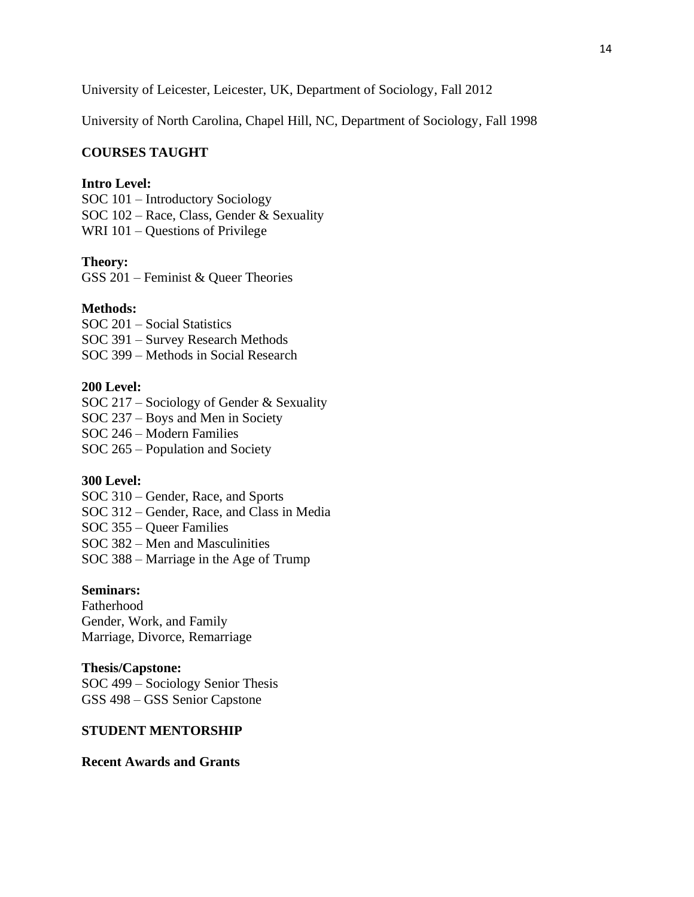University of Leicester, Leicester, UK, Department of Sociology, Fall 2012

University of North Carolina, Chapel Hill, NC, Department of Sociology, Fall 1998

### **COURSES TAUGHT**

### **Intro Level:**

SOC 101 – Introductory Sociology SOC 102 – Race, Class, Gender & Sexuality WRI 101 – Questions of Privilege

#### **Theory:**

GSS 201 – Feminist & Queer Theories

#### **Methods:**

SOC 201 – Social Statistics SOC 391 – Survey Research Methods SOC 399 – Methods in Social Research

### **200 Level:**

SOC 217 – Sociology of Gender & Sexuality

SOC 237 – Boys and Men in Society

SOC 246 – Modern Families

SOC 265 – Population and Society

#### **300 Level:**

SOC 310 – Gender, Race, and Sports SOC 312 – Gender, Race, and Class in Media SOC 355 – Queer Families SOC 382 – Men and Masculinities SOC 388 – Marriage in the Age of Trump

#### **Seminars:**

Fatherhood Gender, Work, and Family Marriage, Divorce, Remarriage

### **Thesis/Capstone:**

SOC 499 – Sociology Senior Thesis GSS 498 – GSS Senior Capstone

#### **STUDENT MENTORSHIP**

#### **Recent Awards and Grants**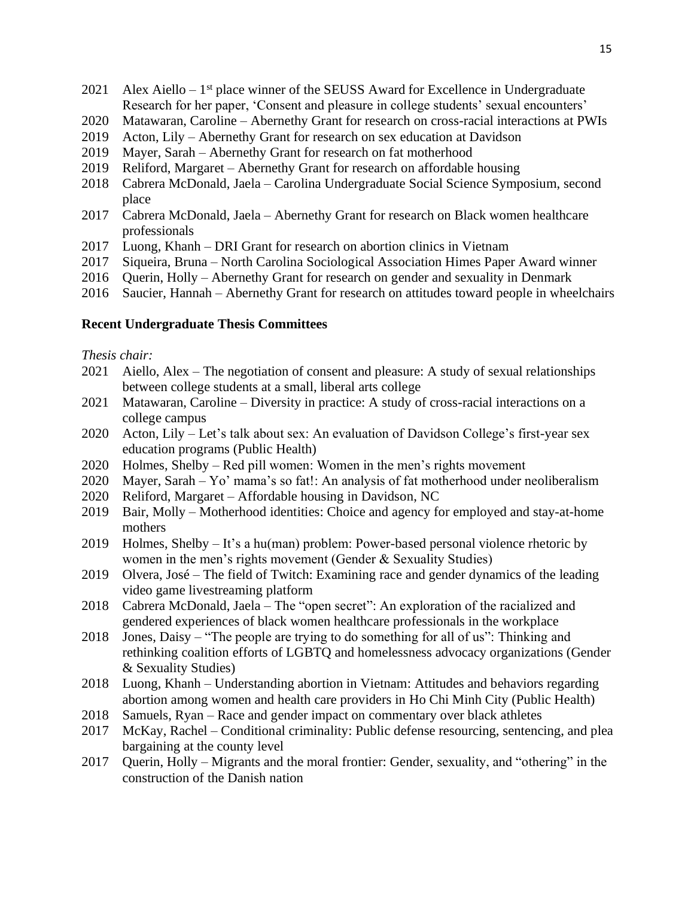- 2021 Alex Aiello  $-1$ <sup>st</sup> place winner of the SEUSS Award for Excellence in Undergraduate Research for her paper, 'Consent and pleasure in college students' sexual encounters'
- 2020 Matawaran, Caroline Abernethy Grant for research on cross-racial interactions at PWIs
- 2019 Acton, Lily Abernethy Grant for research on sex education at Davidson
- 2019 Mayer, Sarah Abernethy Grant for research on fat motherhood
- 2019 Reliford, Margaret Abernethy Grant for research on affordable housing
- 2018 Cabrera McDonald, Jaela Carolina Undergraduate Social Science Symposium, second place
- 2017 Cabrera McDonald, Jaela Abernethy Grant for research on Black women healthcare professionals
- 2017 Luong, Khanh DRI Grant for research on abortion clinics in Vietnam
- 2017 Siqueira, Bruna North Carolina Sociological Association Himes Paper Award winner
- 2016 Querin, Holly Abernethy Grant for research on gender and sexuality in Denmark
- 2016 Saucier, Hannah Abernethy Grant for research on attitudes toward people in wheelchairs

#### **Recent Undergraduate Thesis Committees**

#### *Thesis chair:*

- 2021 Aiello, Alex The negotiation of consent and pleasure: A study of sexual relationships between college students at a small, liberal arts college
- 2021 Matawaran, Caroline Diversity in practice: A study of cross-racial interactions on a college campus
- 2020 Acton, Lily Let's talk about sex: An evaluation of Davidson College's first-year sex education programs (Public Health)
- 2020 Holmes, Shelby Red pill women: Women in the men's rights movement
- 2020 Mayer, Sarah Yo' mama's so fat!: An analysis of fat motherhood under neoliberalism
- 2020 Reliford, Margaret Affordable housing in Davidson, NC
- 2019 Bair, Molly Motherhood identities: Choice and agency for employed and stay-at-home mothers
- 2019 Holmes, Shelby It's a hu(man) problem: Power-based personal violence rhetoric by women in the men's rights movement (Gender & Sexuality Studies)
- 2019 Olvera, José The field of Twitch: Examining race and gender dynamics of the leading video game livestreaming platform
- 2018 Cabrera McDonald, Jaela The "open secret": An exploration of the racialized and gendered experiences of black women healthcare professionals in the workplace
- 2018 Jones, Daisy "The people are trying to do something for all of us": Thinking and rethinking coalition efforts of LGBTQ and homelessness advocacy organizations (Gender & Sexuality Studies)
- 2018 Luong, Khanh Understanding abortion in Vietnam: Attitudes and behaviors regarding abortion among women and health care providers in Ho Chi Minh City (Public Health)
- 2018 Samuels, Ryan Race and gender impact on commentary over black athletes
- 2017 McKay, Rachel Conditional criminality: Public defense resourcing, sentencing, and plea bargaining at the county level
- 2017 Querin, Holly Migrants and the moral frontier: Gender, sexuality, and "othering" in the construction of the Danish nation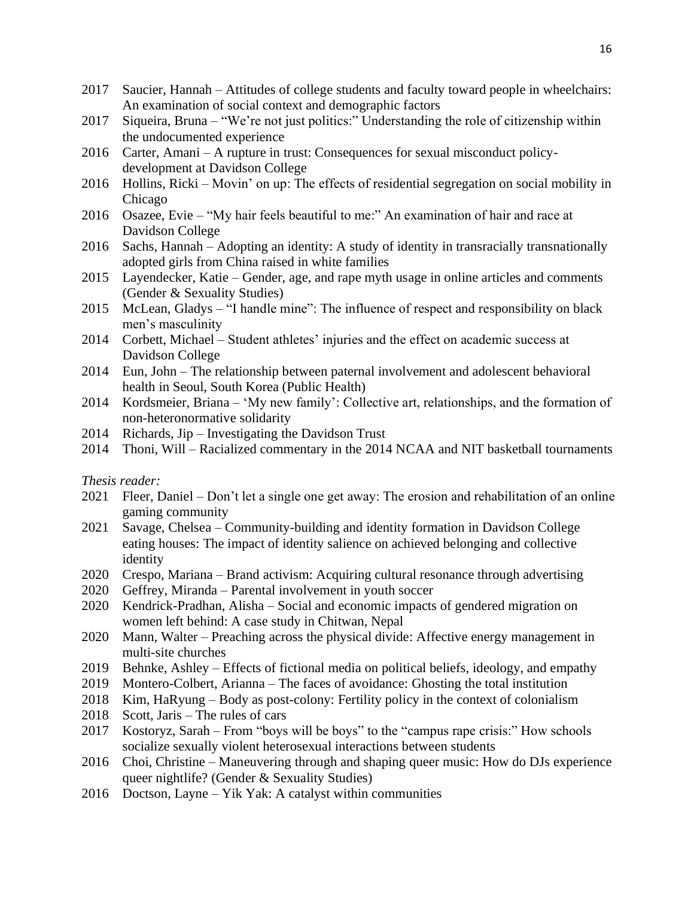- 2017 Saucier, Hannah Attitudes of college students and faculty toward people in wheelchairs: An examination of social context and demographic factors
- 2017 Siqueira, Bruna "We're not just politics:" Understanding the role of citizenship within the undocumented experience
- 2016 Carter, Amani A rupture in trust: Consequences for sexual misconduct policydevelopment at Davidson College
- 2016 Hollins, Ricki Movin' on up: The effects of residential segregation on social mobility in Chicago
- 2016 Osazee, Evie "My hair feels beautiful to me:" An examination of hair and race at Davidson College
- 2016 Sachs, Hannah Adopting an identity: A study of identity in transracially transnationally adopted girls from China raised in white families
- 2015 Layendecker, Katie Gender, age, and rape myth usage in online articles and comments (Gender & Sexuality Studies)
- 2015 McLean, Gladys "I handle mine": The influence of respect and responsibility on black men's masculinity
- 2014 Corbett, Michael Student athletes' injuries and the effect on academic success at Davidson College
- 2014 Eun, John The relationship between paternal involvement and adolescent behavioral health in Seoul, South Korea (Public Health)
- 2014 Kordsmeier, Briana 'My new family': Collective art, relationships, and the formation of non-heteronormative solidarity
- 2014 Richards, Jip Investigating the Davidson Trust
- 2014 Thoni, Will Racialized commentary in the 2014 NCAA and NIT basketball tournaments

## *Thesis reader:*

- 2021 Fleer, Daniel Don't let a single one get away: The erosion and rehabilitation of an online gaming community
- 2021 Savage, Chelsea Community-building and identity formation in Davidson College eating houses: The impact of identity salience on achieved belonging and collective identity
- 2020 Crespo, Mariana Brand activism: Acquiring cultural resonance through advertising
- 2020 Geffrey, Miranda Parental involvement in youth soccer
- 2020 Kendrick-Pradhan, Alisha Social and economic impacts of gendered migration on women left behind: A case study in Chitwan, Nepal
- 2020 Mann, Walter Preaching across the physical divide: Affective energy management in multi-site churches
- 2019 Behnke, Ashley Effects of fictional media on political beliefs, ideology, and empathy
- 2019 Montero-Colbert, Arianna The faces of avoidance: Ghosting the total institution
- 2018 Kim, HaRyung Body as post-colony: Fertility policy in the context of colonialism
- 2018 Scott, Jaris The rules of cars
- 2017 Kostoryz, Sarah From "boys will be boys" to the "campus rape crisis:" How schools socialize sexually violent heterosexual interactions between students
- 2016 Choi, Christine Maneuvering through and shaping queer music: How do DJs experience queer nightlife? (Gender & Sexuality Studies)
- 2016 Doctson, Layne Yik Yak: A catalyst within communities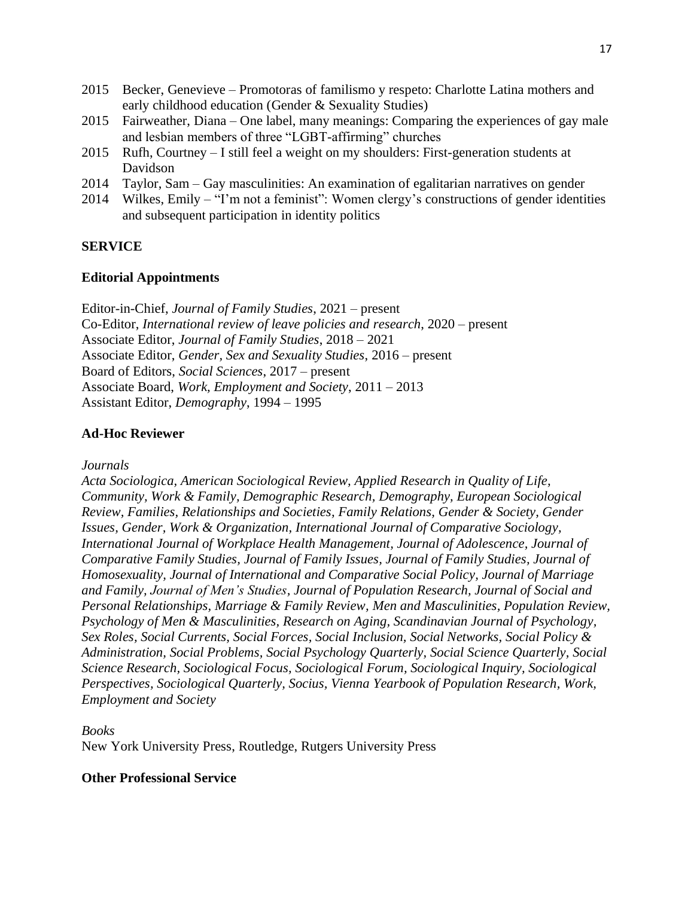- 2015 Becker, Genevieve Promotoras of familismo y respeto: Charlotte Latina mothers and early childhood education (Gender & Sexuality Studies)
- 2015 Fairweather, Diana One label, many meanings: Comparing the experiences of gay male and lesbian members of three "LGBT-affirming" churches
- 2015 Rufh, Courtney I still feel a weight on my shoulders: First-generation students at Davidson
- 2014 Taylor, Sam Gay masculinities: An examination of egalitarian narratives on gender
- 2014 Wilkes, Emily "I'm not a feminist": Women clergy's constructions of gender identities and subsequent participation in identity politics

# **SERVICE**

## **Editorial Appointments**

Editor-in-Chief, *Journal of Family Studies*, 2021 – present Co-Editor, *International review of leave policies and research*, 2020 – present Associate Editor, *Journal of Family Studies*, 2018 – 2021 Associate Editor, *Gender, Sex and Sexuality Studies*, 2016 – present Board of Editors, *Social Sciences*, 2017 – present Associate Board, *Work, Employment and Society*, 2011 – 2013 Assistant Editor, *Demography*, 1994 – 1995

## **Ad-Hoc Reviewer**

*Journals*

*Acta Sociologica, American Sociological Review, Applied Research in Quality of Life, Community, Work & Family, Demographic Research, Demography, European Sociological Review, Families, Relationships and Societies, Family Relations, Gender & Society, Gender Issues, Gender, Work & Organization, International Journal of Comparative Sociology, International Journal of Workplace Health Management, Journal of Adolescence, Journal of Comparative Family Studies, Journal of Family Issues, Journal of Family Studies, Journal of Homosexuality, Journal of International and Comparative Social Policy, Journal of Marriage and Family, Journal of Men's Studies, Journal of Population Research, Journal of Social and Personal Relationships, Marriage & Family Review, Men and Masculinities, Population Review, Psychology of Men & Masculinities, Research on Aging, Scandinavian Journal of Psychology, Sex Roles, Social Currents, Social Forces, Social Inclusion, Social Networks, Social Policy & Administration, Social Problems, Social Psychology Quarterly, Social Science Quarterly, Social Science Research, Sociological Focus, Sociological Forum, Sociological Inquiry, Sociological Perspectives, Sociological Quarterly, Socius, Vienna Yearbook of Population Research, Work, Employment and Society*

*Books* New York University Press, Routledge, Rutgers University Press

# **Other Professional Service**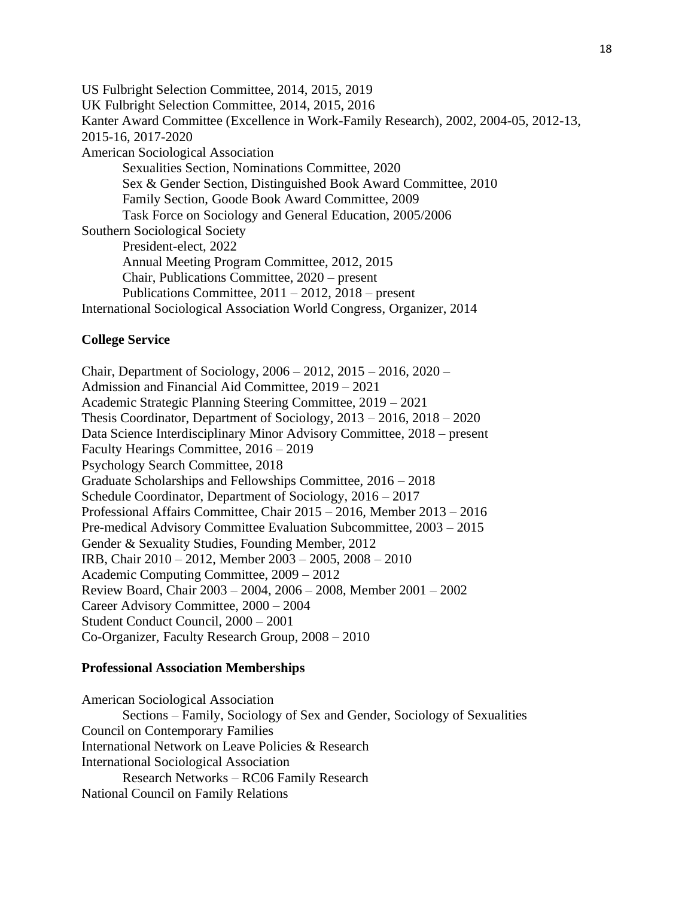US Fulbright Selection Committee, 2014, 2015, 2019 UK Fulbright Selection Committee, 2014, 2015, 2016 Kanter Award Committee (Excellence in Work-Family Research), 2002, 2004-05, 2012-13, 2015-16, 2017-2020 American Sociological Association Sexualities Section, Nominations Committee, 2020 Sex & Gender Section, Distinguished Book Award Committee, 2010 Family Section, Goode Book Award Committee, 2009 Task Force on Sociology and General Education, 2005/2006 Southern Sociological Society President-elect, 2022 Annual Meeting Program Committee, 2012, 2015 Chair, Publications Committee, 2020 – present Publications Committee, 2011 – 2012, 2018 – present International Sociological Association World Congress, Organizer, 2014

## **College Service**

Chair, Department of Sociology, 2006 – 2012, 2015 – 2016, 2020 – Admission and Financial Aid Committee, 2019 – 2021 Academic Strategic Planning Steering Committee, 2019 – 2021 Thesis Coordinator, Department of Sociology, 2013 – 2016, 2018 – 2020 Data Science Interdisciplinary Minor Advisory Committee, 2018 – present Faculty Hearings Committee, 2016 – 2019 Psychology Search Committee, 2018 Graduate Scholarships and Fellowships Committee, 2016 – 2018 Schedule Coordinator, Department of Sociology, 2016 – 2017 Professional Affairs Committee, Chair 2015 – 2016, Member 2013 – 2016 Pre-medical Advisory Committee Evaluation Subcommittee, 2003 – 2015 Gender & Sexuality Studies, Founding Member, 2012 IRB, Chair 2010 – 2012, Member 2003 – 2005, 2008 – 2010 Academic Computing Committee, 2009 – 2012 Review Board, Chair 2003 – 2004, 2006 – 2008, Member 2001 – 2002 Career Advisory Committee, 2000 – 2004 Student Conduct Council, 2000 – 2001 Co-Organizer, Faculty Research Group, 2008 – 2010

#### **Professional Association Memberships**

American Sociological Association Sections – Family, Sociology of Sex and Gender, Sociology of Sexualities Council on Contemporary Families International Network on Leave Policies & Research International Sociological Association Research Networks – RC06 Family Research National Council on Family Relations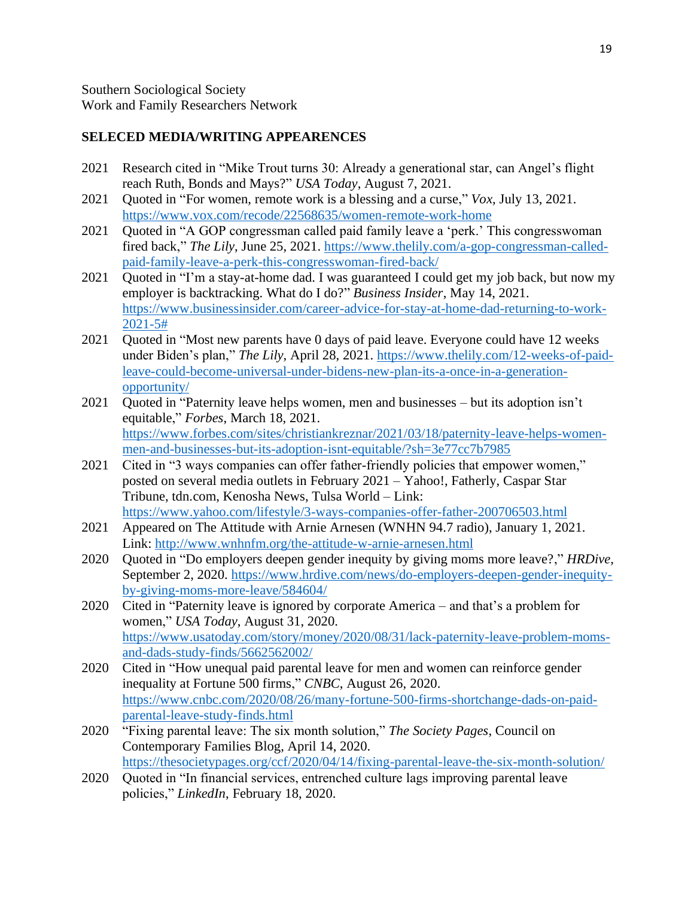## **SELECED MEDIA/WRITING APPEARENCES**

- 2021 Research cited in "Mike Trout turns 30: Already a generational star, can Angel's flight reach Ruth, Bonds and Mays?" *USA Today*, August 7, 2021.
- 2021 Quoted in "For women, remote work is a blessing and a curse," *Vox*, July 13, 2021. <https://www.vox.com/recode/22568635/women-remote-work-home>
- 2021 Quoted in "A GOP congressman called paid family leave a 'perk.' This congresswoman fired back," *The Lily*, June 25, 2021. [https://www.thelily.com/a-gop-congressman-called](https://www.thelily.com/a-gop-congressman-called-paid-family-leave-a-perk-this-congresswoman-fired-back/)[paid-family-leave-a-perk-this-congresswoman-fired-back/](https://www.thelily.com/a-gop-congressman-called-paid-family-leave-a-perk-this-congresswoman-fired-back/)
- 2021 Quoted in "I'm a stay-at-home dad. I was guaranteed I could get my job back, but now my employer is backtracking. What do I do?" *Business Insider*, May 14, 2021. [https://www.businessinsider.com/career-advice-for-stay-at-home-dad-returning-to-work-](https://www.businessinsider.com/career-advice-for-stay-at-home-dad-returning-to-work-2021-5)[2021-5#](https://www.businessinsider.com/career-advice-for-stay-at-home-dad-returning-to-work-2021-5)
- 2021 Quoted in "Most new parents have 0 days of paid leave. Everyone could have 12 weeks under Biden's plan," *The Lily*, April 28, 2021. [https://www.thelily.com/12-weeks-of-paid](https://www.thelily.com/12-weeks-of-paid-leave-could-become-universal-under-bidens-new-plan-its-a-once-in-a-generation-opportunity/)[leave-could-become-universal-under-bidens-new-plan-its-a-once-in-a-generation](https://www.thelily.com/12-weeks-of-paid-leave-could-become-universal-under-bidens-new-plan-its-a-once-in-a-generation-opportunity/)[opportunity/](https://www.thelily.com/12-weeks-of-paid-leave-could-become-universal-under-bidens-new-plan-its-a-once-in-a-generation-opportunity/)
- 2021 Quoted in "Paternity leave helps women, men and businesses but its adoption isn't equitable," *Forbes*, March 18, 2021. [https://www.forbes.com/sites/christiankreznar/2021/03/18/paternity-leave-helps-women](https://www.forbes.com/sites/christiankreznar/2021/03/18/paternity-leave-helps-women-men-and-businesses-but-its-adoption-isnt-equitable/?sh=3e77cc7b7985)[men-and-businesses-but-its-adoption-isnt-equitable/?sh=3e77cc7b7985](https://www.forbes.com/sites/christiankreznar/2021/03/18/paternity-leave-helps-women-men-and-businesses-but-its-adoption-isnt-equitable/?sh=3e77cc7b7985)
- 2021 Cited in "3 ways companies can offer father-friendly policies that empower women," posted on several media outlets in February 2021 – Yahoo!, Fatherly, Caspar Star Tribune, tdn.com, Kenosha News, Tulsa World – Link: <https://www.yahoo.com/lifestyle/3-ways-companies-offer-father-200706503.html>
- 2021 Appeared on The Attitude with Arnie Arnesen (WNHN 94.7 radio), January 1, 2021. Link: <http://www.wnhnfm.org/the-attitude-w-arnie-arnesen.html>
- 2020 Quoted in "Do employers deepen gender inequity by giving moms more leave?," *HRDive*, September 2, 2020. [https://www.hrdive.com/news/do-employers-deepen-gender-inequity](https://www.hrdive.com/news/do-employers-deepen-gender-inequity-by-giving-moms-more-leave/584604/)[by-giving-moms-more-leave/584604/](https://www.hrdive.com/news/do-employers-deepen-gender-inequity-by-giving-moms-more-leave/584604/)
- 2020 Cited in "Paternity leave is ignored by corporate America and that's a problem for women," *USA Today*, August 31, 2020. [https://www.usatoday.com/story/money/2020/08/31/lack-paternity-leave-problem-moms](https://www.usatoday.com/story/money/2020/08/31/lack-paternity-leave-problem-moms-and-dads-study-finds/5662562002/)[and-dads-study-finds/5662562002/](https://www.usatoday.com/story/money/2020/08/31/lack-paternity-leave-problem-moms-and-dads-study-finds/5662562002/)
- 2020 Cited in "How unequal paid parental leave for men and women can reinforce gender inequality at Fortune 500 firms," *CNBC*, August 26, 2020. [https://www.cnbc.com/2020/08/26/many-fortune-500-firms-shortchange-dads-on-paid](https://www.cnbc.com/2020/08/26/many-fortune-500-firms-shortchange-dads-on-paid-parental-leave-study-finds.html)[parental-leave-study-finds.html](https://www.cnbc.com/2020/08/26/many-fortune-500-firms-shortchange-dads-on-paid-parental-leave-study-finds.html)
- 2020 "Fixing parental leave: The six month solution," *The Society Pages*, Council on Contemporary Families Blog, April 14, 2020. <https://thesocietypages.org/ccf/2020/04/14/fixing-parental-leave-the-six-month-solution/>
- 2020 Quoted in "In financial services, entrenched culture lags improving parental leave policies," *LinkedIn*, February 18, 2020.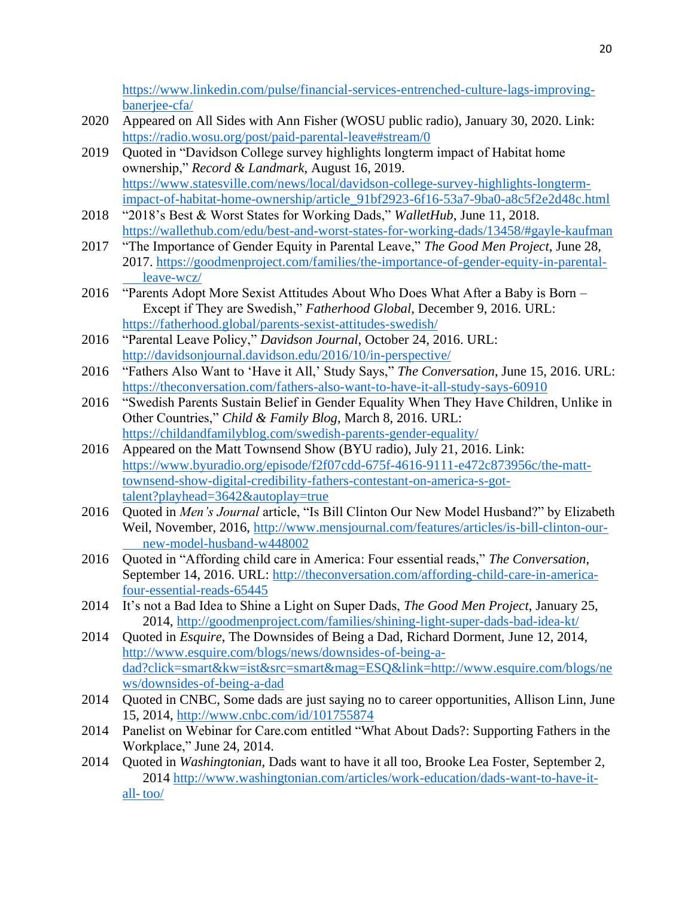[https://www.linkedin.com/pulse/financial-services-entrenched-culture-lags-improving](https://www.linkedin.com/pulse/financial-services-entrenched-culture-lags-improving-banerjee-cfa/)[banerjee-cfa/](https://www.linkedin.com/pulse/financial-services-entrenched-culture-lags-improving-banerjee-cfa/)

- 2020 Appeared on All Sides with Ann Fisher (WOSU public radio), January 30, 2020. Link: <https://radio.wosu.org/post/paid-parental-leave#stream/0>
- 2019 Quoted in "Davidson College survey highlights longterm impact of Habitat home ownership," *Record & Landmark*, August 16, 2019. [https://www.statesville.com/news/local/davidson-college-survey-highlights-longterm](https://www.statesville.com/news/local/davidson-college-survey-highlights-longterm-impact-of-habitat-home-ownership/article_91bf2923-6f16-53a7-9ba0-a8c5f2e2d48c.html)[impact-of-habitat-home-ownership/article\\_91bf2923-6f16-53a7-9ba0-a8c5f2e2d48c.html](https://www.statesville.com/news/local/davidson-college-survey-highlights-longterm-impact-of-habitat-home-ownership/article_91bf2923-6f16-53a7-9ba0-a8c5f2e2d48c.html)
- 2018 "2018's Best & Worst States for Working Dads," *WalletHub*, June 11, 2018. <https://wallethub.com/edu/best-and-worst-states-for-working-dads/13458/#gayle-kaufman>
- 2017 "The Importance of Gender Equity in Parental Leave," *The Good Men Project*, June 28, 2017. [https://goodmenproject.com/families/the-importance-of-gender-equity-in-parental](https://goodmenproject.com/families/the-importance-of-gender-equity-in-parental-%09leave-wcz/)[leave-wcz/](https://goodmenproject.com/families/the-importance-of-gender-equity-in-parental-%09leave-wcz/)
- 2016 "Parents Adopt More Sexist Attitudes About Who Does What After a Baby is Born Except if They are Swedish," *Fatherhood Global*, December 9, 2016. URL: <https://fatherhood.global/parents-sexist-attitudes-swedish/>
- 2016 "Parental Leave Policy," *Davidson Journal*, October 24, 2016. URL: <http://davidsonjournal.davidson.edu/2016/10/in-perspective/>
- 2016 "Fathers Also Want to 'Have it All,' Study Says," *The Conversation*, June 15, 2016. URL: <https://theconversation.com/fathers-also-want-to-have-it-all-study-says-60910>
- 2016 "Swedish Parents Sustain Belief in Gender Equality When They Have Children, Unlike in Other Countries," *Child & Family Blog*, March 8, 2016. URL: <https://childandfamilyblog.com/swedish-parents-gender-equality/>
- 2016 Appeared on the Matt Townsend Show (BYU radio), July 21, 2016. Link: [https://www.byuradio.org/episode/f2f07cdd-675f-4616-9111-e472c873956c/the-matt](https://www.byuradio.org/episode/f2f07cdd-675f-4616-9111-e472c873956c/the-matt-%09townsend-show-digital-credibility-fathers-contestant-on-america-s-got-%09talent?playhead=3642&autoplay=true)[townsend-show-digital-credibility-fathers-contestant-on-america-s-got](https://www.byuradio.org/episode/f2f07cdd-675f-4616-9111-e472c873956c/the-matt-%09townsend-show-digital-credibility-fathers-contestant-on-america-s-got-%09talent?playhead=3642&autoplay=true)[talent?playhead=3642&autoplay=true](https://www.byuradio.org/episode/f2f07cdd-675f-4616-9111-e472c873956c/the-matt-%09townsend-show-digital-credibility-fathers-contestant-on-america-s-got-%09talent?playhead=3642&autoplay=true)
- 2016 Quoted in *Men's Journal* article, "Is Bill Clinton Our New Model Husband?" by Elizabeth Weil, November, 2016, [http://www.mensjournal.com/features/articles/is-bill-clinton-our](http://www.mensjournal.com/features/articles/is-bill-clinton-our-%09new-model-husband-w448002)[new-model-husband-w448002](http://www.mensjournal.com/features/articles/is-bill-clinton-our-%09new-model-husband-w448002)
- 2016 Quoted in "Affording child care in America: Four essential reads," *The Conversation*, September 14, 2016. URL: [http://theconversation.com/affording-child-care-in-america](http://theconversation.com/affording-child-care-in-america-four-essential-reads-65445)[four-essential-reads-65445](http://theconversation.com/affording-child-care-in-america-four-essential-reads-65445)
- 2014 It's not a Bad Idea to Shine a Light on Super Dads, *The Good Men Project*, January 25, 2014,<http://goodmenproject.com/families/shining-light-super-dads-bad-idea-kt/>
- 2014 Quoted in *Esquire*, The Downsides of Being a Dad, Richard Dorment, June 12, 2014, [http://www.esquire.com/blogs/news/downsides-of-being-a](http://www.esquire.com/blogs/news/downsides-of-being-a-%09dad?click=smart&kw=ist&src=smart&mag=ESQ&link=http://www.esquire.com/blogs/ne%09ws/downsides-of-being-a-dad)[dad?click=smart&kw=ist&src=smart&mag=ESQ&link=http://www.esquire.com/blogs/ne](http://www.esquire.com/blogs/news/downsides-of-being-a-%09dad?click=smart&kw=ist&src=smart&mag=ESQ&link=http://www.esquire.com/blogs/ne%09ws/downsides-of-being-a-dad) [ws/downsides-of-being-a-dad](http://www.esquire.com/blogs/news/downsides-of-being-a-%09dad?click=smart&kw=ist&src=smart&mag=ESQ&link=http://www.esquire.com/blogs/ne%09ws/downsides-of-being-a-dad)
- 2014 Quoted in CNBC, Some dads are just saying no to career opportunities, Allison Linn, June 15, 2014,<http://www.cnbc.com/id/101755874>
- 2014 Panelist on Webinar for Care.com entitled "What About Dads?: Supporting Fathers in the Workplace," June 24, 2014.
- 2014 Quoted in *Washingtonian*, Dads want to have it all too, Brooke Lea Foster, September 2, 2014 [http://www.washingtonian.com/articles/work-education/dads-want-to-have-it](http://www.washingtonian.com/articles/work-education/dads-want-to-have-it-all-%09too/)all- [too/](http://www.washingtonian.com/articles/work-education/dads-want-to-have-it-all-%09too/)